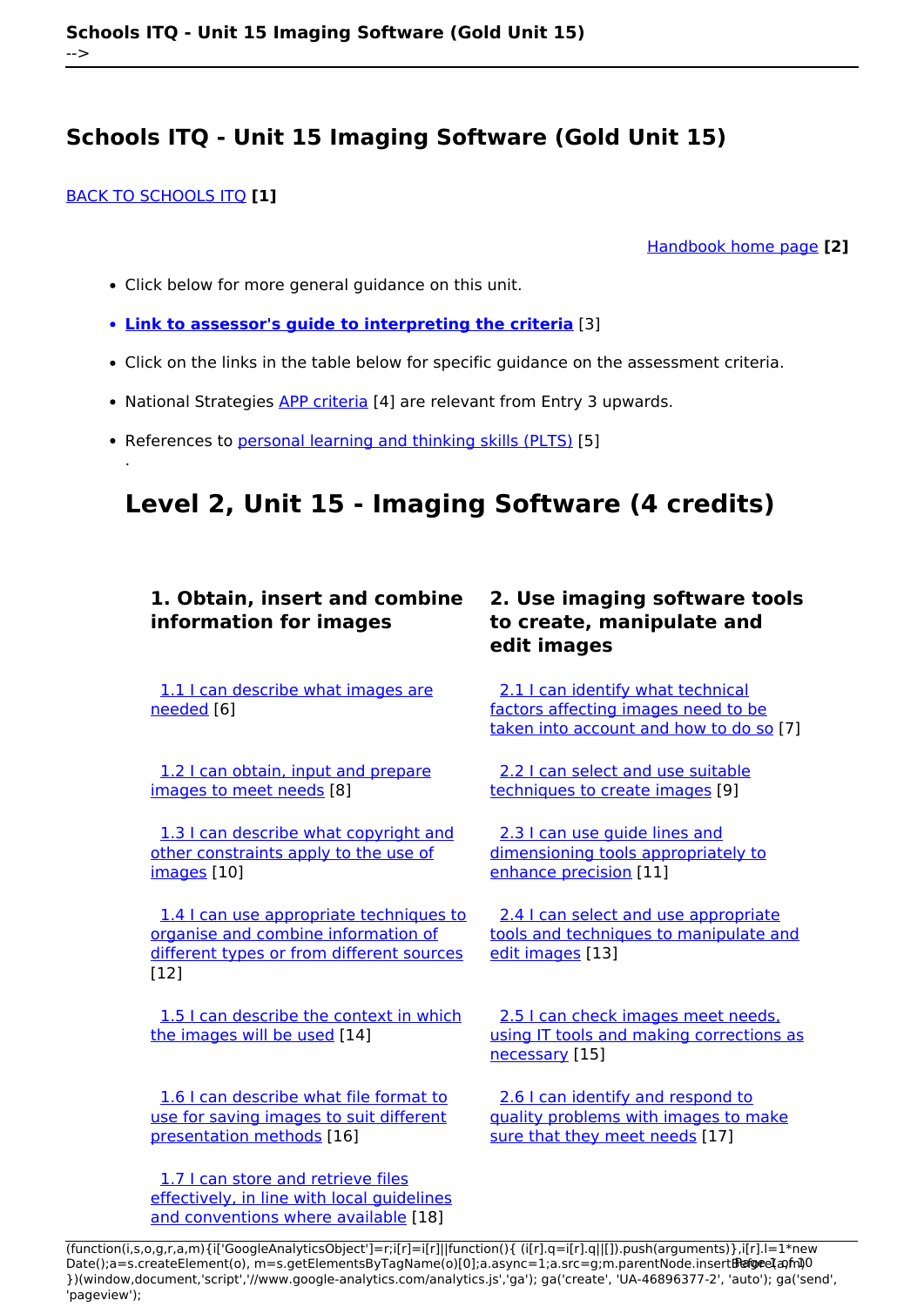#### [BACK TO SCHOOLS ITQ](https://theingots.org/community/ITQ_unit_development) **[1]**

.

[Handbook home page](https://theingots.org/community/handbook2) **[2]**

- Click below for more general guidance on this unit.
- **[Link to assessor's guide to interpreting the criteria](https://theingots.org/community/SIL2U15X)** [3]
- Click on the links in the table below for specific guidance on the assessment criteria.
- National Strategies [APP criteria](http://nationalstrategies.standards.dcsf.gov.uk/focuses/959/861/110166) [4] are relevant from Entry 3 upwards.
- References to [personal learning and thinking skills \(PLTS\)](http://curriculum.qcda.gov.uk/key-stages-3-and-4/skills/plts/planning-for-plts/index.aspx) [5]

## **Level 2, Unit 15 - Imaging Software (4 credits)**

### **1. Obtain, insert and combine information for images**

 [1.1 I can describe what images are](https://theingots.org/community/sil2u15x#1.1) [needed](https://theingots.org/community/sil2u15x#1.1) [6]

 [1.2 I can obtain, input and prepare](https://theingots.org/community/sil2u15x#1.2) [images to meet needs](https://theingots.org/community/sil2u15x#1.2) [8]

 [1.3 I can describe what copyright and](https://theingots.org/community/sil2u15x#1.3) [other constraints apply to the use of](https://theingots.org/community/sil2u15x#1.3) [images](https://theingots.org/community/sil2u15x#1.3) [10]

 [1.4 I can use appropriate techniques to](https://theingots.org/community/sil2u15x#1.4) [organise and combine information of](https://theingots.org/community/sil2u15x#1.4) [different types or from different sources](https://theingots.org/community/sil2u15x#1.4) [12]

 [1.5 I can describe the context in which](https://theingots.org/community/sil2u15x#1.5) [the images will be used](https://theingots.org/community/sil2u15x#1.5) [14]

 [1.6 I can describe what file format to](https://theingots.org/community/sil2u15x#1.6) [use for saving images to suit different](https://theingots.org/community/sil2u15x#1.6) [presentation methods](https://theingots.org/community/sil2u15x#1.6) [16]

[1.7 I can store and retrieve files](https://theingots.org/community/sil2u15x#1.7) [effectively, in line with local guidelines](https://theingots.org/community/sil2u15x#1.7) [and conventions where available](https://theingots.org/community/sil2u15x#1.7) [18]

## **2. Use imaging software tools to create, manipulate and edit images**

 [2.1 I can identify what technical](https://theingots.org/community/sil2u15x#2.1) [factors affecting images need to be](https://theingots.org/community/sil2u15x#2.1) [taken into account and how to do so](https://theingots.org/community/sil2u15x#2.1) [7]

 [2.2 I can select and use suitable](https://theingots.org/community/sil2u15x#2.2) [techniques to create images](https://theingots.org/community/sil2u15x#2.2) [9]

 [2.3 I can use guide lines and](https://theingots.org/community/sil2u15x#2.3) [dimensioning tools appropriately to](https://theingots.org/community/sil2u15x#2.3) [enhance precision](https://theingots.org/community/sil2u15x#2.3) [11]

[2.4 I can select and use appropriate](https://theingots.org/community/sil2u15x#2.4) [tools and techniques to manipulate and](https://theingots.org/community/sil2u15x#2.4) [edit images](https://theingots.org/community/sil2u15x#2.4) [13]

[2.5 I can check images meet needs,](https://theingots.org/community/sil2u15x#2.5) [using IT tools and making corrections as](https://theingots.org/community/sil2u15x#2.5) [necessary](https://theingots.org/community/sil2u15x#2.5) [15]

[2.6 I can identify and respond to](https://theingots.org/community/sil2u15x#2.6) [quality problems with images to make](https://theingots.org/community/sil2u15x#2.6) [sure that they meet needs](https://theingots.org/community/sil2u15x#2.6) [17]

(function(i,s,o,g,r,a,m){i['GoogleAnalyticsObject']=r;i[r]=i[r]||function(){ (i[r].q=i[r].q||[]).push(arguments)},i[r].l=1\*new Date();a=s.createElement(o), m=s.getElementsByTagName(o)[0];a.async=1;a.src=g;m.parentNode.insert**Before**ຢຸ້*α*ງກົາ)0 })(window,document,'script','//www.google-analytics.com/analytics.js','ga'); ga('create', 'UA-46896377-2', 'auto'); ga('send', 'pageview');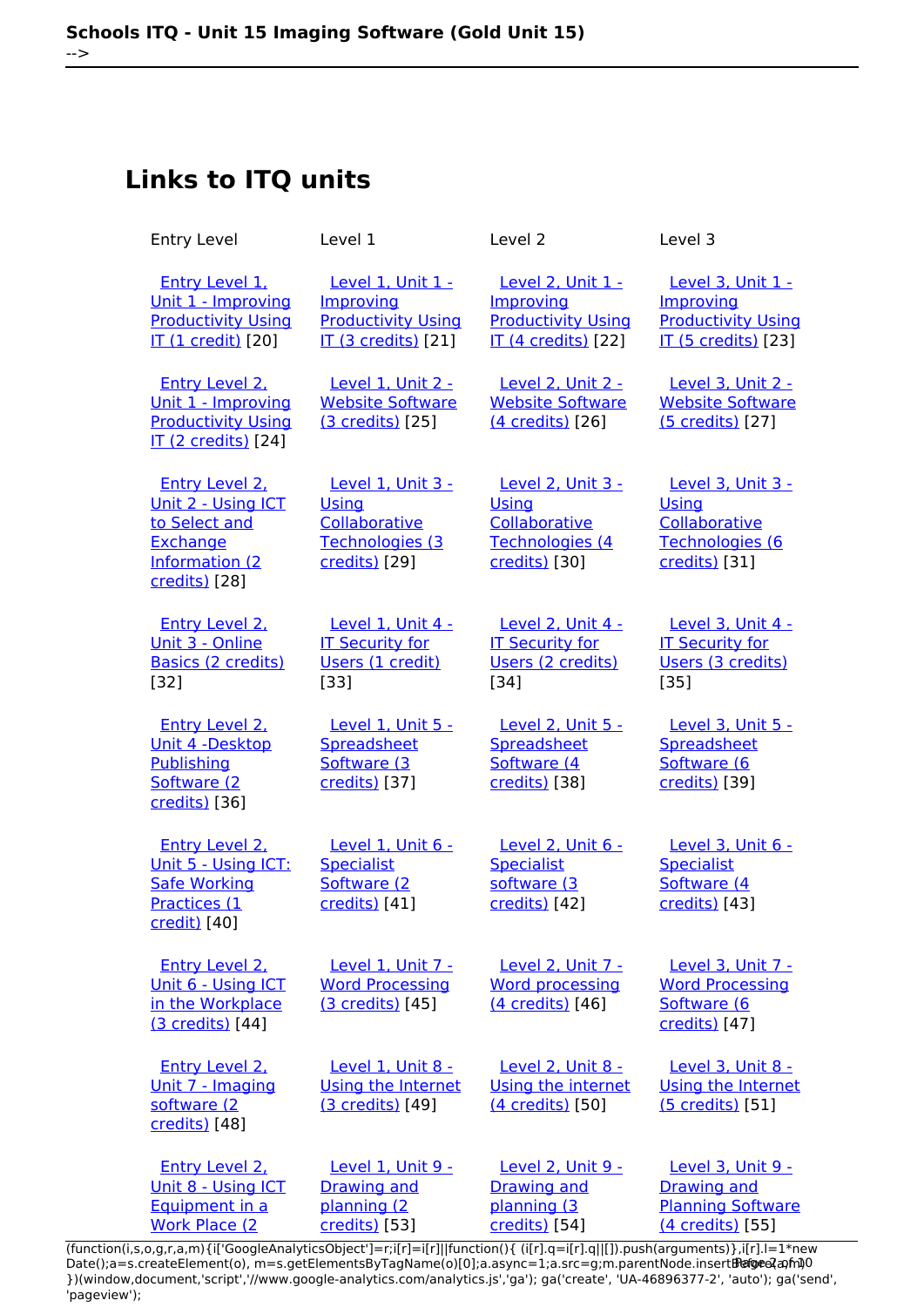# **Links to ITQ units**

| <b>Entry Level</b>                                                                                          | Level 1                                                                                   | Level 2                                                                                   | Level 3                                                                                   |
|-------------------------------------------------------------------------------------------------------------|-------------------------------------------------------------------------------------------|-------------------------------------------------------------------------------------------|-------------------------------------------------------------------------------------------|
| <b>Entry Level 1.</b><br>Unit 1 - Improving<br><b>Productivity Using</b><br><b>IT (1 credit)</b> [20]       | Level 1, Unit 1 -<br>Improving<br><b>Productivity Using</b><br><b>IT (3 credits)</b> [21] | Level 2, Unit 1 -<br>Improving<br><b>Productivity Using</b><br><b>IT (4 credits)</b> [22] | Level 3. Unit 1 -<br>Improving<br><b>Productivity Using</b><br><b>IT (5 credits)</b> [23] |
| <b>Entry Level 2.</b><br>Unit 1 - Improving<br><b>Productivity Using</b><br><b>IT (2 credits)</b> [24]      | <b>Level 1, Unit 2 -</b><br><b>Website Software</b><br>(3 credits) [25]                   | <b>Level 2, Unit 2 -</b><br><b>Website Software</b><br>(4 credits) [26]                   | Level 3, Unit 2 -<br><b>Website Software</b><br>(5 credits) [27]                          |
| <b>Entry Level 2.</b><br>Unit 2 - Using ICT<br>to Select and<br>Exchange<br>Information (2<br>credits) [28] | Level 1, Unit 3 -<br>Using<br>Collaborative<br>Technologies (3<br>credits) [29]           | Level 2, Unit 3 -<br>Using<br>Collaborative<br>Technologies (4<br>credits) [30]           | Level 3, Unit 3 -<br>Using<br>Collaborative<br>Technologies (6<br>credits) [31]           |
| <b>Entry Level 2.</b><br>Unit 3 - Online<br><b>Basics (2 credits)</b><br>[32]                               | <b>Level 1. Unit 4 -</b><br><b>IT Security for</b><br>Users (1 credit)<br>[33]            | Level 2, Unit 4 -<br><b>IT Security for</b><br>Users (2 credits)<br>[34]                  | Level 3, Unit 4 -<br><b>IT Security for</b><br>Users (3 credits)<br>$[35]$                |
| <b>Entry Level 2.</b><br>Unit 4 -Desktop<br>Publishing<br>Software (2<br>credits) [36]                      | Level 1, Unit 5 -<br>Spreadsheet<br>Software (3<br>credits) [37]                          | Level 2, Unit 5 -<br>Spreadsheet<br>Software (4<br>credits) [38]                          | Level 3, Unit 5 -<br>Spreadsheet<br>Software (6<br>credits) [39]                          |
| Entry Level 2.<br>Unit 5 - Using ICT:<br><b>Safe Working</b><br>Practices (1<br>credit) [40]                | Level 1. Unit 6 -<br><b>Specialist</b><br>Software (2<br>credits) [41]                    | Level 2, Unit 6 -<br><b>Specialist</b><br>software (3<br>credits) [42]                    | Level 3. Unit 6 -<br><b>Specialist</b><br>Software (4<br>credits) [43]                    |
| <b>Entry Level 2.</b><br>Unit 6 - Using ICT<br>in the Workplace<br>(3 credits) [44]                         | Level 1, Unit 7 -<br><b>Word Processing</b><br>(3 credits) [45]                           | Level 2, Unit 7 -<br><b>Word processing</b><br>(4 credits) [46]                           | Level 3, Unit 7 -<br><b>Word Processing</b><br>Software (6<br>credits) [47]               |
| <b>Entry Level 2.</b><br>Unit 7 - Imaging<br>software (2<br>credits) [48]                                   | Level 1, Unit 8 -<br>Using the Internet<br>(3 credits) [49]                               | <b>Level 2, Unit 8 -</b><br>Using the internet<br>(4 credits) [50]                        | Level 3, Unit 8 -<br><b>Using the Internet</b><br>(5 credits) [51]                        |
| <b>Entry Level 2.</b><br>Unit 8 - Using ICT<br>Equipment in a<br><b>Work Place (2)</b>                      | Level 1, Unit 9 -<br><b>Drawing and</b><br>planning (2<br>credits) [53]                   | <b>Level 2, Unit 9 -</b><br><b>Drawing and</b><br>planning (3<br>credits) [54]            | Level 3, Unit 9 -<br>Drawing and<br><b>Planning Software</b><br>(4 credits) [55]          |

[\(function\(i,s,o,g,r,a,m\){i\['GoogleAnalyticsObject'\]=r;i\[r\]=i\[r\]||function\(\){ \(i\[r\].q=i\[r\].q||\[\]\).push\(arguments\)},i\[r\].l=1\\*new](https://theingots.org/community/siel2u8) Date();a=s.createElement(o), m=s.getElementsByTagName(o)[0];a.async=1;a.src=g;m.parentNode.insert**Bෂ@e**ද?aກກ [}\)\(window,document,'script','//www.google-analytics.com/analytics.js','ga'\); ga\('create', 'UA-46896377-2', 'auto'\); ga\('send',](https://theingots.org/community/siel2u8) ['pageview'\);](https://theingots.org/community/siel2u8) **Pagee?a**nfnl0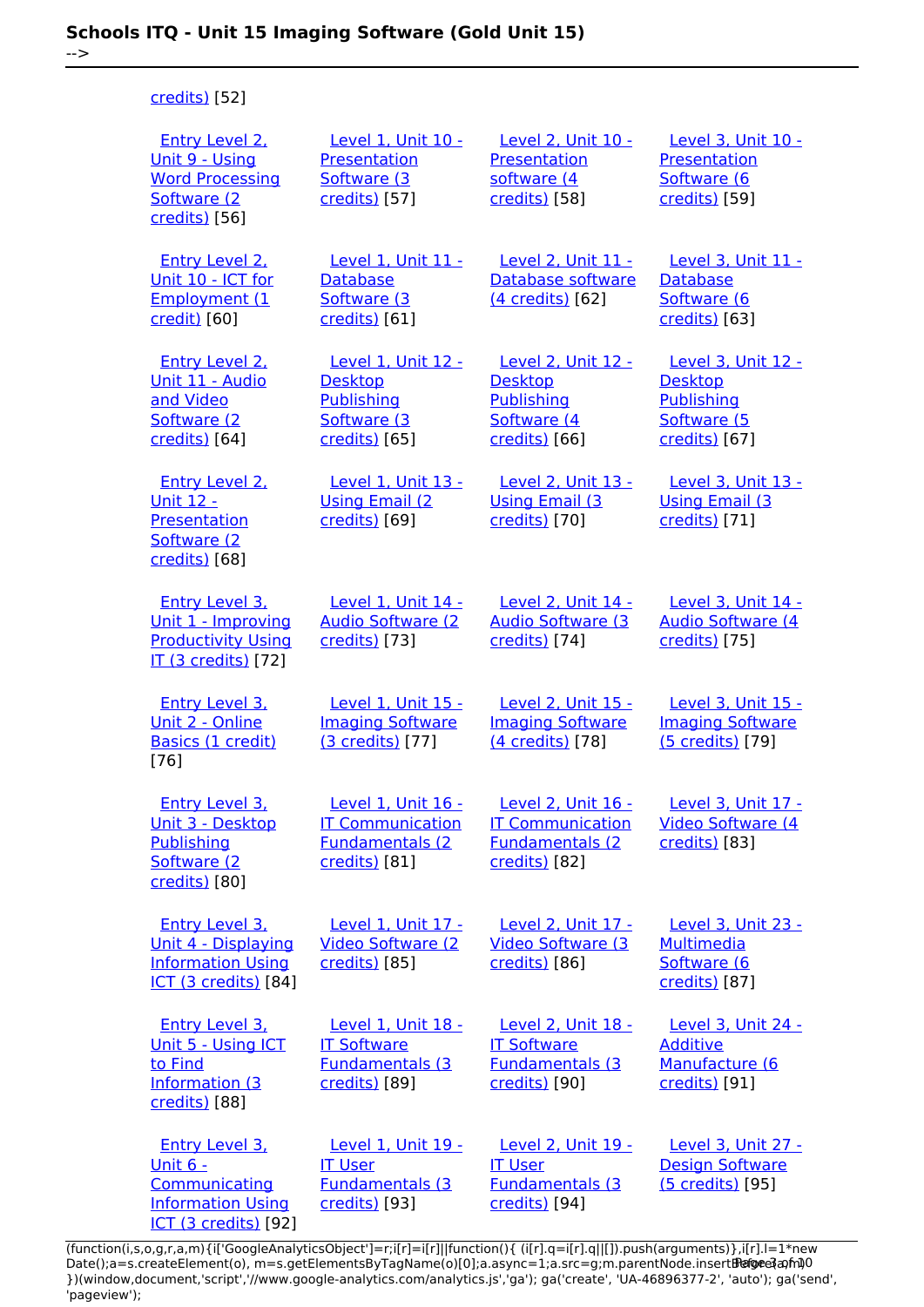| credits) [52]                                                                                                        |                                                                                           |                                                                                           |                                                                                           |
|----------------------------------------------------------------------------------------------------------------------|-------------------------------------------------------------------------------------------|-------------------------------------------------------------------------------------------|-------------------------------------------------------------------------------------------|
| Entry Level 2.<br>Unit 9 - Using<br><b>Word Processing</b><br>Software (2)<br>credits) [56]                          | Level 1, Unit 10 -<br>Presentation<br>Software (3<br>credits) [57]                        | Level 2, Unit 10 -<br>Presentation<br>software (4<br>credits) [58]                        | Level 3, Unit 10 -<br>Presentation<br>Software (6<br>credits) [59]                        |
| <b>Entry Level 2.</b><br>Unit 10 - ICT for<br>Employment (1<br>credit) [60]                                          | Level 1, Unit 11 -<br>Database<br>Software (3<br>credits) [61]                            | Level 2, Unit 11 -<br>Database software<br>(4 credits) [62]                               | Level 3, Unit 11 -<br>Database<br>Software (6<br>credits) [63]                            |
| Entry Level 2.<br>Unit 11 - Audio<br>and Video<br>Software (2)<br>credits) [64]                                      | <b>Level 1, Unit 12 -</b><br><b>Desktop</b><br>Publishing<br>Software (3<br>credits) [65] | Level 2, Unit 12 -<br><b>Desktop</b><br>Publishing<br>Software (4<br>credits) [66]        | <b>Level 3. Unit 12 -</b><br><b>Desktop</b><br>Publishing<br>Software (5<br>credits) [67] |
| <b>Entry Level 2.</b><br><b>Unit 12 -</b><br>Presentation<br>Software (2<br>credits) [68]                            | Level 1, Unit 13 -<br><b>Using Email (2)</b><br>credits) [69]                             | Level 2, Unit 13 -<br><b>Using Email (3)</b><br>credits) [70]                             | Level 3, Unit 13 -<br><b>Using Email (3)</b><br>credits) [71]                             |
| <b>Entry Level 3.</b><br>Unit 1 - Improving<br><b>Productivity Using</b><br><b>IT (3 credits)</b> [72]               | <b>Level 1, Unit 14 -</b><br><b>Audio Software (2)</b><br>credits) [73]                   | <b>Level 2, Unit 14 -</b><br><b>Audio Software (3)</b><br>credits) [74]                   | <b>Level 3, Unit 14 -</b><br><b>Audio Software (4)</b><br>credits) [75]                   |
| Entry Level 3,<br>Unit 2 - Online<br>Basics (1 credit)<br>$[76]$                                                     | Level 1, Unit 15 -<br><b>Imaging Software</b><br>(3 credits) [77]                         | Level 2. Unit 15 -<br><b>Imaging Software</b><br>(4 credits) [78]                         | Level 3. Unit 15 -<br><b>Imaging Software</b><br>(5 credits) [79]                         |
| <b>Entry Level 3.</b><br>Unit 3 - Desktop<br>Publishing<br>Software (2<br>credits) [80]                              | Level 1, Unit 16 -<br><b>IT Communication</b><br><b>Fundamentals (2)</b><br>credits) [81] | Level 2, Unit 16 -<br><b>IT Communication</b><br><b>Fundamentals (2)</b><br>credits) [82] | Level 3, Unit 17 -<br><b>Video Software (4)</b><br>credits) [83]                          |
| <b>Entry Level 3.</b><br>Unit 4 - Displaying<br><b>Information Using</b><br>ICT (3 credits) [84]                     | Level 1, Unit 17 -<br><b>Video Software (2)</b><br>credits) [85]                          | Level 2, Unit 17 -<br><b>Video Software (3)</b><br>credits) [86]                          | Level 3, Unit 23 -<br><b>Multimedia</b><br>Software (6<br>credits) [87]                   |
| <b>Entry Level 3.</b><br>Unit 5 - Using ICT<br>to Find<br><b>Information (3)</b><br>credits) [88]                    | Level 1, Unit 18 -<br><b>IT Software</b><br><b>Fundamentals (3</b><br>credits) [89]       | Level 2, Unit 18 -<br><b>IT Software</b><br>Fundamentals (3<br>credits) [90]              | Level 3, Unit 24 -<br><b>Additive</b><br>Manufacture (6<br>credits) [91]                  |
| <b>Entry Level 3.</b><br><u>Unit 6 -</u><br>Communicating<br><b>Information Using</b><br><b>ICT (3 credits)</b> [92] | Level 1, Unit 19 -<br><b>IT User</b><br><b>Fundamentals (3)</b><br>credits) [93]          | Level 2, Unit 19 -<br><b>IT User</b><br><b>Fundamentals (3)</b><br>credits) [94]          | Level 3, Unit 27 -<br><b>Design Software</b><br>(5 credits) [95]                          |

(function(i,s,o,g,r,a,m){i['GoogleAnalyticsObject']=r;i[r]=i[r]||function(){ (i[r].q=i[r].q||[]).push(arguments)},i[r].l=1\*new Date();a=s.createElement(o), m=s.getElementsByTagName(o)[0];a.async=1;a.src=g;m.parentNode.insert**Before**??aภm })(window,document,'script','//www.google-analytics.com/analytics.js','ga'); ga('create', 'UA-46896377-2', 'auto'); ga('send', 'pageview'); **Page**e}anfnl0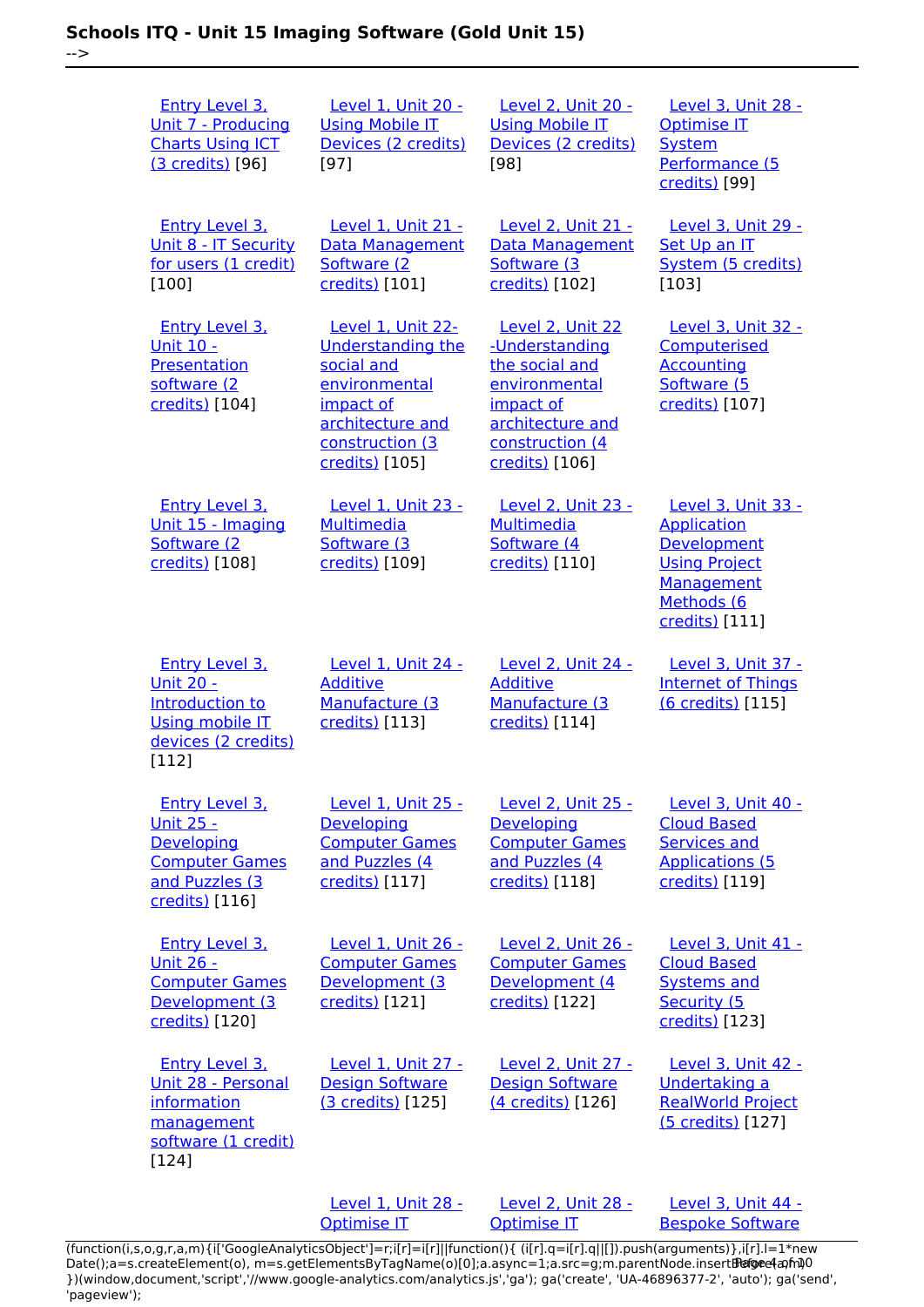-->

| <b>Entry Level 3.</b><br>Unit 7 - Producing<br><b>Charts Using ICT</b><br>(3 credits) [96]                                | <b>Level 1, Unit 20 -</b><br><b>Using Mobile IT</b><br>Devices (2 credits)<br>$[97]$                                                               | <b>Level 2, Unit 20 -</b><br><b>Using Mobile IT</b><br>Devices (2 credits)<br>[98]                                                          | Level 3, Unit 28 -<br>Optimise IT<br><b>System</b><br>Performance (5<br>credits) [99]                                                |
|---------------------------------------------------------------------------------------------------------------------------|----------------------------------------------------------------------------------------------------------------------------------------------------|---------------------------------------------------------------------------------------------------------------------------------------------|--------------------------------------------------------------------------------------------------------------------------------------|
| <b>Entry Level 3.</b><br>Unit 8 - IT Security<br>for users (1 credit)<br>$[100]$                                          | <b>Level 1, Unit 21 -</b><br><b>Data Management</b><br>Software (2<br>credits) [101]                                                               | Level 2, Unit 21 -<br>Data Management<br>Software (3<br>credits) [102]                                                                      | Level 3, Unit 29 -<br>Set Up an IT<br>System (5 credits)<br>[103]                                                                    |
| <b>Entry Level 3.</b><br><u> Unit 10 -</u><br>Presentation<br>software (2)<br>credits) [104]                              | Level 1, Unit 22-<br><b>Understanding the</b><br>social and<br>environmental<br>impact of<br>architecture and<br>construction (3<br>credits) [105] | Level 2, Unit 22<br>-Understanding<br>the social and<br>environmental<br>impact of<br>architecture and<br>construction (4<br>credits) [106] | <b>Level 3, Unit 32 -</b><br>Computerised<br><b>Accounting</b><br>Software (5<br>credits) [107]                                      |
| <b>Entry Level 3.</b><br>Unit 15 - Imaging<br>Software (2)<br>credits) [108]                                              | Level 1, Unit 23 -<br><b>Multimedia</b><br>Software (3<br>credits) [109]                                                                           | Level 2, Unit 23 -<br><b>Multimedia</b><br>Software (4<br>credits) [110]                                                                    | <b>Level 3, Unit 33 -</b><br><b>Application</b><br>Development<br><b>Using Project</b><br>Management<br>Methods (6<br>credits) [111] |
| <b>Entry Level 3.</b><br><u> Unit 20 -</u><br>Introduction to<br><b>Using mobile IT</b><br>devices (2 credits)<br>$[112]$ | Level 1, Unit 24 -<br><b>Additive</b><br>Manufacture (3<br>credits) [113]                                                                          | Level 2, Unit 24 -<br><b>Additive</b><br>Manufacture (3<br>credits) [114]                                                                   | Level 3, Unit 37 -<br><b>Internet of Things</b><br>(6 credits) [115]                                                                 |
| <b>Entry Level 3.</b><br><u> Unit 25 -</u><br>Developing<br><b>Computer Games</b><br>and Puzzles (3<br>credits) [116]     | Level 1, Unit 25 -<br>Developing<br><b>Computer Games</b><br>and Puzzles (4<br>credits) [117]                                                      | Level 2, Unit 25 -<br><b>Developing</b><br><b>Computer Games</b><br>and Puzzles (4<br>credits) [118]                                        | Level 3, Unit 40 -<br><b>Cloud Based</b><br>Services and<br><b>Applications (5</b><br>credits) [119]                                 |
| <b>Entry Level 3.</b><br><u> Unit 26 -</u><br><b>Computer Games</b><br>Development (3<br>credits) [120]                   | Level 1, Unit 26 -<br><b>Computer Games</b><br>Development (3<br>credits) [121]                                                                    | Level 2, Unit 26 -<br><b>Computer Games</b><br>Development (4<br>credits) [122]                                                             | Level 3, Unit 41 -<br><b>Cloud Based</b><br><b>Systems and</b><br>Security (5<br>credits) [123]                                      |
| <b>Entry Level 3.</b><br>Unit 28 - Personal<br>information<br>management<br>software (1 credit)<br>[124]                  | <b>Level 1, Unit 27 -</b><br><b>Design Software</b><br>(3 credits) [125]                                                                           | Level 2, Unit 27 -<br><b>Design Software</b><br>(4 credits) [126]                                                                           | Level 3, Unit 42 -<br>Undertaking a<br><b>RealWorld Project</b><br>(5 credits) [127]                                                 |
|                                                                                                                           | <b>Level 1, Unit 28 -</b>                                                                                                                          | Level 2, Unit 28 -                                                                                                                          | Level 3, Unit 44 -                                                                                                                   |

[\(function\(i,s,o,g,r,a,m\){i\['GoogleAnalyticsObject'\]=r;i\[r\]=i\[r\]||function\(\){ \(i\[r\].q=i\[r\].q||\[\]\).push\(arguments\)},i\[r\].l=1\\*new](https://theingots.org/community/sil1u28) Date();a=s.createElement(o), m=s.getElementsByTagName(o)[0];a.async=1;a.src=g;m.parentNode.insert**Bෂ@ee{**aንከቅ [}\)\(window,document,'script','//www.google-analytics.com/analytics.js','ga'\); ga\('create', 'UA-46896377-2', 'auto'\); ga\('send',](https://theingots.org/community/sil1u28) ['pageview'\);](https://theingots.org/community/sil1u28) Page 4 of 10

[Optimise IT](https://theingots.org/community/sil2u28)

[Bespoke Software](https://theingots.org/community/sil3u44)

[Optimise IT](https://theingots.org/community/sil1u28)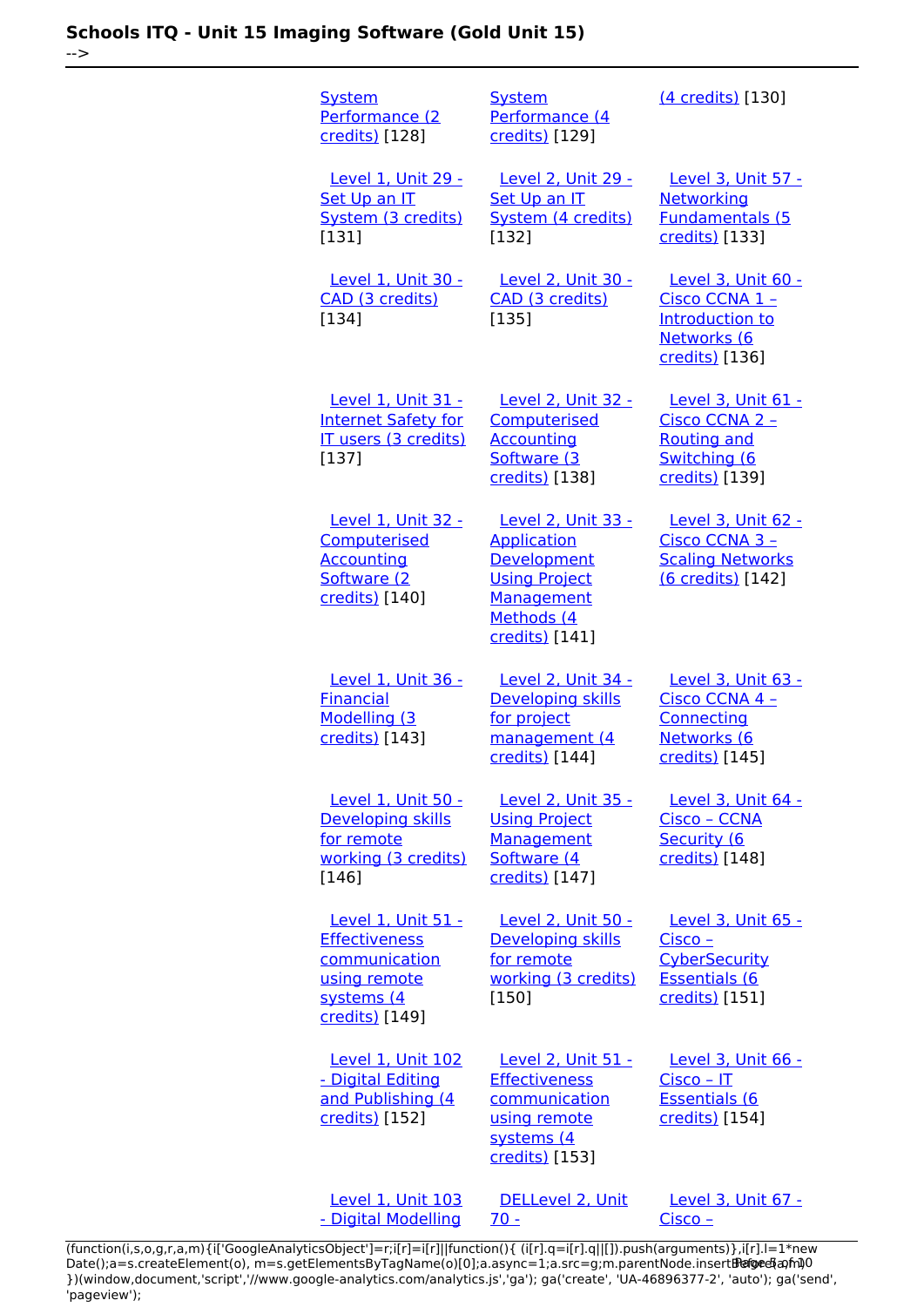-->

| <b>System</b><br>Performance (2<br>credits) [128]                                                           | <b>System</b><br>Performance (4<br>credits) [129]                                                                             | (4 credits) [130]                                                                               |
|-------------------------------------------------------------------------------------------------------------|-------------------------------------------------------------------------------------------------------------------------------|-------------------------------------------------------------------------------------------------|
| <b>Level 1, Unit 29 -</b><br>Set Up an IT<br>System (3 credits)<br>[131]                                    | Level 2, Unit 29 -<br>Set Up an IT<br>System (4 credits)<br>[132]                                                             | Level 3, Unit 57 -<br>Networking<br><b>Fundamentals (5</b><br>credits) [133]                    |
| Level 1, Unit 30 -<br>CAD (3 credits)<br>[134]                                                              | Level 2. Unit 30 -<br>CAD (3 credits)<br>[135]                                                                                | Level 3, Unit 60 -<br>Cisco CCNA 1 -<br><b>Introduction to</b><br>Networks (6<br>credits) [136] |
| <b>Level 1, Unit 31 -</b><br><b>Internet Safety for</b><br>IT users (3 credits)<br>[137]                    | Level 2, Unit 32 -<br>Computerised<br><b>Accounting</b><br>Software (3<br>credits) [138]                                      | Level 3, Unit 61 -<br>Cisco CCNA 2 -<br><b>Routing and</b><br>Switching (6<br>credits) [139]    |
| Level 1, Unit 32 -<br>Computerised<br><b>Accounting</b><br>Software (2<br>credits) [140]                    | Level 2, Unit 33 -<br><b>Application</b><br>Development<br><b>Using Project</b><br>Management<br>Methods (4<br>credits) [141] | Level 3, Unit 62 -<br>Cisco CCNA 3 -<br><b>Scaling Networks</b><br>(6 credits) [142]            |
| Level 1, Unit 36 -<br><b>Financial</b><br>Modelling (3<br>credits) [143]                                    | Level 2, Unit 34 -<br><b>Developing skills</b><br>for project<br>management (4<br>credits) [144]                              | Level 3, Unit 63 -<br>Cisco CCNA 4 -<br>Connecting<br>Networks (6<br>credits) [145]             |
| Level 1, Unit 50 -<br>Developing skills<br>for remote<br>working (3 credits)<br>$[146]$                     | <b>Level 2, Unit 35 -</b><br><b>Using Project</b><br>Management<br>Software (4<br>credits) [147]                              | <b>Level 3, Unit 64 -</b><br>Cisco - CCNA<br>Security (6<br>credits) [148]                      |
| Level 1, Unit 51 -<br><b>Effectiveness</b><br>communication<br>using remote<br>systems (4<br>credits) [149] | Level 2, Unit 50 -<br><b>Developing skills</b><br>for remote<br>working (3 credits)<br>[150]                                  | Level 3, Unit 65 -<br>$Cisco -$<br>CyberSecurity<br><b>Essentials (6</b><br>credits) [151]      |
| <b>Level 1, Unit 102</b><br>- Digital Editing<br>and Publishing (4<br>credits) [152]                        | <b>Level 2, Unit 51 -</b><br><b>Effectiveness</b><br>communication<br>using remote<br>systems (4<br>credits) [153]            | Level 3, Unit 66 -<br>$Cisco - IT$<br><b>Essentials (6</b><br>credits) [154]                    |
| <b>Level 1, Unit 103</b><br>- Digital Modelling                                                             | DELLevel 2, Unit<br>$70 -$                                                                                                    | Level 3, Unit 67 -<br>Cisco -                                                                   |

[\(function\(i,s,o,g,r,a,m\){i\['GoogleAnalyticsObject'\]=r;i\[r\]=i\[r\]||function\(\){ \(i\[r\].q=i\[r\].q||\[\]\).push\(arguments\)},i\[r\].l=1\\*new](https://theingots.org/community/sil1u103) Date();a=s.createElement(o), m=s.getElementsByTagName(o)[0];a.async=1;a.src=g;m.parentNode.insert**Before**e(a,m) [}\)\(window,document,'script','//www.google-analytics.com/analytics.js','ga'\); ga\('create', 'UA-46896377-2', 'auto'\); ga\('send',](https://theingots.org/community/sil1u103) ['pageview'\);](https://theingots.org/community/sil1u103) Pagoreda, fnl)0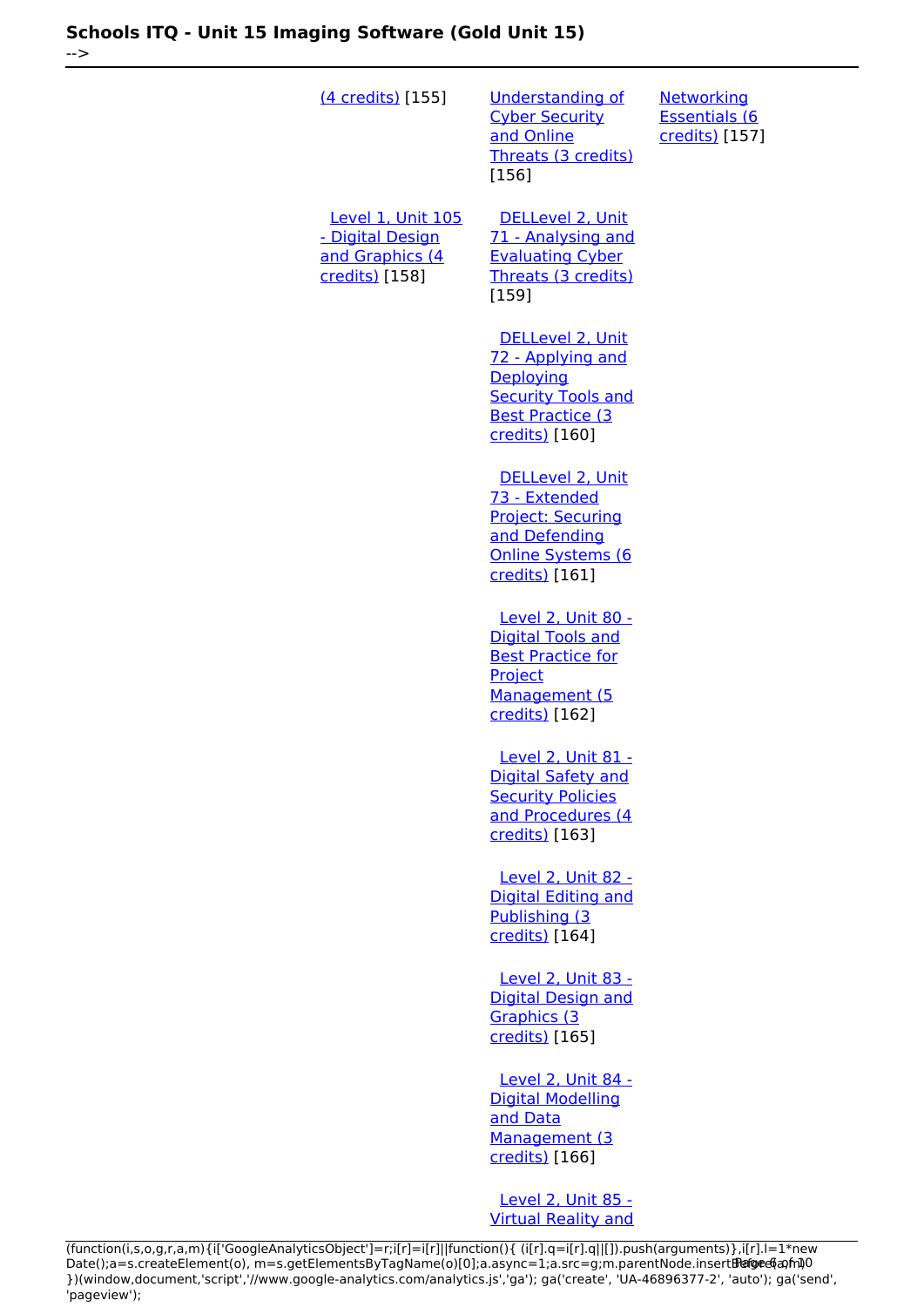-->

| (4 credits) [155]                                                                 | Understanding of<br><b>Cyber Security</b><br>and Online<br>Threats (3 credits)<br>[156]                                      | <b>Networking</b><br><b>Essentials (6</b><br>credits) [157] |
|-----------------------------------------------------------------------------------|------------------------------------------------------------------------------------------------------------------------------|-------------------------------------------------------------|
| <b>Level 1, Unit 105</b><br>- Digital Design<br>and Graphics (4<br>credits) [158] | DELLevel 2, Unit<br>71 - Analysing and<br><b>Evaluating Cyber</b><br>Threats (3 credits)<br>[159]                            |                                                             |
|                                                                                   | DELLevel 2, Unit<br>72 - Applying and<br>Deploying<br><b>Security Tools and</b><br><b>Best Practice (3</b><br>credits) [160] |                                                             |
|                                                                                   | DELLevel 2, Unit<br>73 - Extended<br><b>Project: Securing</b><br>and Defending<br>Online Systems (6<br>credits) [161]        |                                                             |
|                                                                                   | Level 2, Unit 80 -<br><b>Digital Tools and</b><br><b>Best Practice for</b><br>Project<br>Management (5<br>credits) [162]     |                                                             |
|                                                                                   | Level 2, Unit 81 -<br><b>Digital Safety and</b><br><b>Security Policies</b><br>and Procedures (4<br>credits) [163]           |                                                             |
|                                                                                   | Level 2, Unit 82 -<br><b>Digital Editing and</b><br>Publishing (3<br>credits) [164]                                          |                                                             |
|                                                                                   | Level 2, Unit 83 -<br><b>Digital Design and</b><br>Graphics (3<br>credits) [165]                                             |                                                             |
|                                                                                   | Level 2, Unit 84 -<br><b>Digital Modelling</b><br>and Data<br>Management (3<br>credits) [166]                                |                                                             |
|                                                                                   |                                                                                                                              |                                                             |

 [Level 2, Unit 85 -](https://theingots.org/community/sil2u85) [Virtual Reality and](https://theingots.org/community/sil2u85)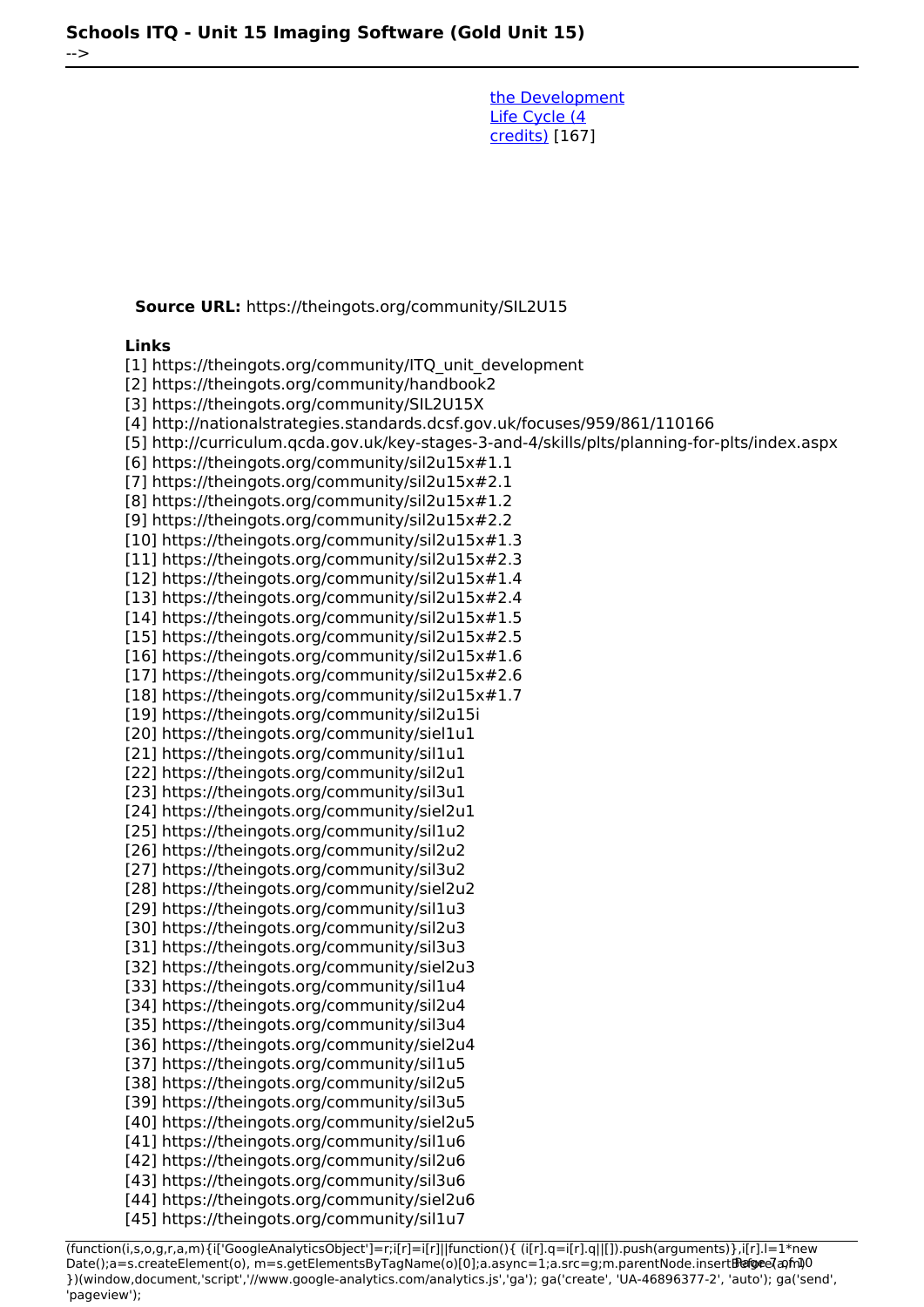[the Development](https://theingots.org/community/sil2u85) [Life Cycle \(4](https://theingots.org/community/sil2u85) [credits\)](https://theingots.org/community/sil2u85) [167]

**Source URL:** https://theingots.org/community/SIL2U15

#### **Links**

-->

[1] https://theingots.org/community/ITQ\_unit\_development [2] https://theingots.org/community/handbook2 [3] https://theingots.org/community/SIL2U15X [4] http://nationalstrategies.standards.dcsf.gov.uk/focuses/959/861/110166 [5] http://curriculum.qcda.gov.uk/key-stages-3-and-4/skills/plts/planning-for-plts/index.aspx [6] https://theingots.org/community/sil2u15x#1.1 [7] https://theingots.org/community/sil2u15x#2.1 [8] https://theingots.org/community/sil2u15x#1.2 [9] https://theingots.org/community/sil2u15x#2.2 [10] https://theingots.org/community/sil2u15x#1.3 [11] https://theingots.org/community/sil2u15x#2.3 [12] https://theingots.org/community/sil2u15x#1.4 [13] https://theingots.org/community/sil2u15x#2.4 [14] https://theingots.org/community/sil2u15x#1.5 [15] https://theingots.org/community/sil2u15x#2.5 [16] https://theingots.org/community/sil2u15x#1.6 [17] https://theingots.org/community/sil2u15x#2.6 [18] https://theingots.org/community/sil2u15x#1.7 [19] https://theingots.org/community/sil2u15i [20] https://theingots.org/community/siel1u1 [21] https://theingots.org/community/sil1u1 [22] https://theingots.org/community/sil2u1 [23] https://theingots.org/community/sil3u1 [24] https://theingots.org/community/siel2u1 [25] https://theingots.org/community/sil1u2 [26] https://theingots.org/community/sil2u2 [27] https://theingots.org/community/sil3u2 [28] https://theingots.org/community/siel2u2 [29] https://theingots.org/community/sil1u3 [30] https://theingots.org/community/sil2u3 [31] https://theingots.org/community/sil3u3 [32] https://theingots.org/community/siel2u3 [33] https://theingots.org/community/sil1u4 [34] https://theingots.org/community/sil2u4 [35] https://theingots.org/community/sil3u4 [36] https://theingots.org/community/siel2u4 [37] https://theingots.org/community/sil1u5 [38] https://theingots.org/community/sil2u5 [39] https://theingots.org/community/sil3u5 [40] https://theingots.org/community/siel2u5 [41] https://theingots.org/community/sil1u6 [42] https://theingots.org/community/sil2u6 [43] https://theingots.org/community/sil3u6 [44] https://theingots.org/community/siel2u6

[45] https://theingots.org/community/sil1u7

<sup>(</sup>function(i,s,o,g,r,a,m){i['GoogleAnalyticsObject']=r;i[r]=i[r]||function(){ (i[r].q=i[r].q||[]).push(arguments)},i[r].l=1\*new Date();a=s.createElement(o), m=s.getElementsByTagName(o)[0];a.async=1;a.src=g;m.parentNode.insert**Before**(apfn)0 })(window,document,'script','//www.google-analytics.com/analytics.js','ga'); ga('create', 'UA-46896377-2', 'auto'); ga('send', 'pageview');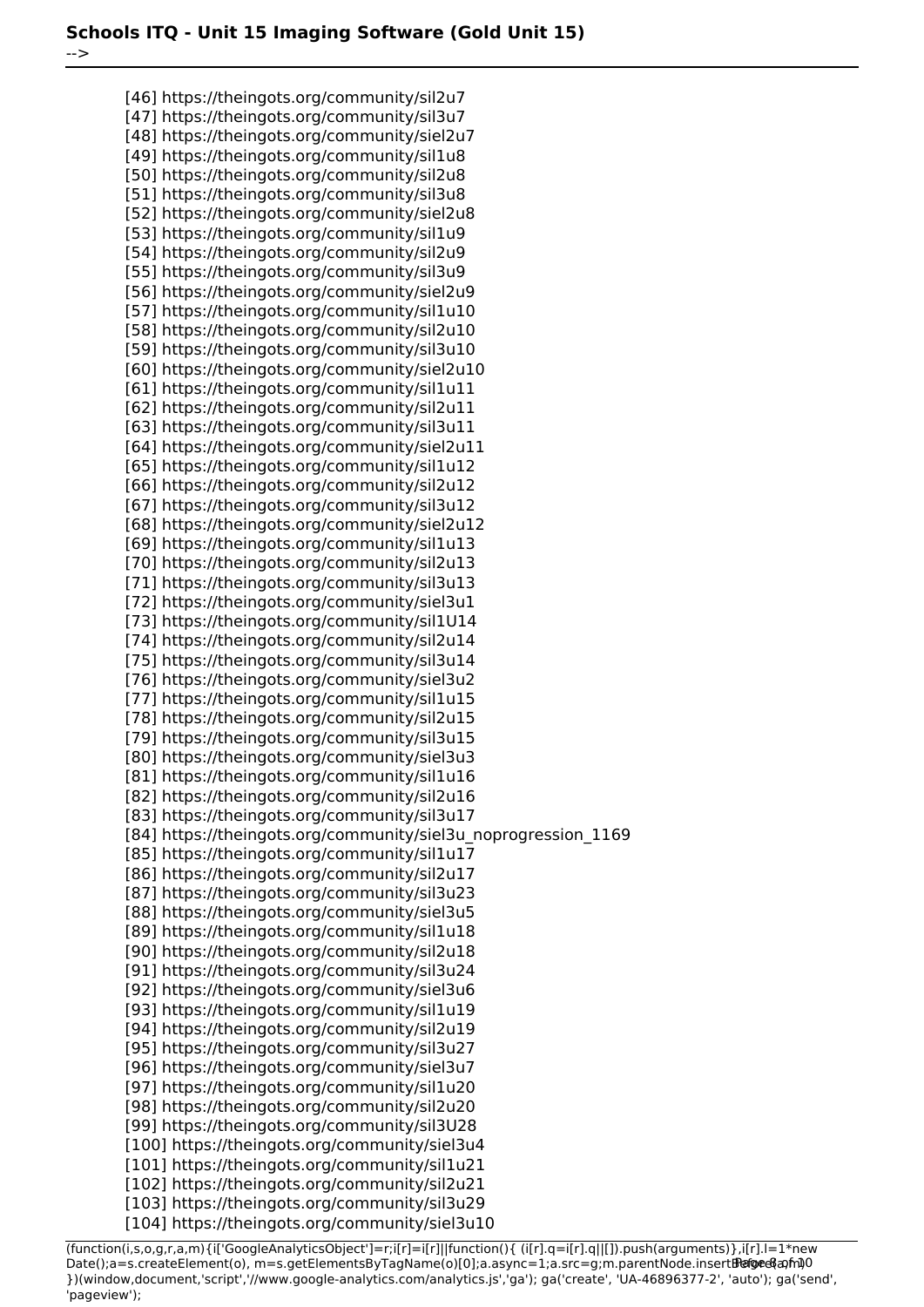-->

[46] https://theingots.org/community/sil2u7 [47] https://theingots.org/community/sil3u7 [48] https://theingots.org/community/siel2u7 [49] https://theingots.org/community/sil1u8 [50] https://theingots.org/community/sil2u8 [51] https://theingots.org/community/sil3u8 [52] https://theingots.org/community/siel2u8 [53] https://theingots.org/community/sil1u9 [54] https://theingots.org/community/sil2u9 [55] https://theingots.org/community/sil3u9 [56] https://theingots.org/community/siel2u9 [57] https://theingots.org/community/sil1u10 [58] https://theingots.org/community/sil2u10 [59] https://theingots.org/community/sil3u10 [60] https://theingots.org/community/siel2u10 [61] https://theingots.org/community/sil1u11 [62] https://theingots.org/community/sil2u11 [63] https://theingots.org/community/sil3u11 [64] https://theingots.org/community/siel2u11 [65] https://theingots.org/community/sil1u12 [66] https://theingots.org/community/sil2u12 [67] https://theingots.org/community/sil3u12 [68] https://theingots.org/community/siel2u12 [69] https://theingots.org/community/sil1u13 [70] https://theingots.org/community/sil2u13 [71] https://theingots.org/community/sil3u13 [72] https://theingots.org/community/siel3u1 [73] https://theingots.org/community/sil1U14 [74] https://theingots.org/community/sil2u14 [75] https://theingots.org/community/sil3u14 [76] https://theingots.org/community/siel3u2 [77] https://theingots.org/community/sil1u15 [78] https://theingots.org/community/sil2u15 [79] https://theingots.org/community/sil3u15 [80] https://theingots.org/community/siel3u3 [81] https://theingots.org/community/sil1u16 [82] https://theingots.org/community/sil2u16 [83] https://theingots.org/community/sil3u17 [84] https://theingots.org/community/siel3u\_noprogression\_1169 [85] https://theingots.org/community/sil1u17 [86] https://theingots.org/community/sil2u17 [87] https://theingots.org/community/sil3u23 [88] https://theingots.org/community/siel3u5 [89] https://theingots.org/community/sil1u18 [90] https://theingots.org/community/sil2u18 [91] https://theingots.org/community/sil3u24 [92] https://theingots.org/community/siel3u6 [93] https://theingots.org/community/sil1u19 [94] https://theingots.org/community/sil2u19 [95] https://theingots.org/community/sil3u27 [96] https://theingots.org/community/siel3u7 [97] https://theingots.org/community/sil1u20 [98] https://theingots.org/community/sil2u20 [99] https://theingots.org/community/sil3U28 [100] https://theingots.org/community/siel3u4 [101] https://theingots.org/community/sil1u21 [102] https://theingots.org/community/sil2u21 [103] https://theingots.org/community/sil3u29 [104] https://theingots.org/community/siel3u10

(function(i,s,o,g,r,a,m){i['GoogleAnalyticsObject']=r;i[r]=i[r]||function(){ (i[r].q=i[r].q||[]).push(arguments)},i[r].l=1\*new Date();a=s.createElement(o), m=s.getElementsByTagName(o)[0];a.async=1;a.src=g;m.parentNode.insert**Bෂ@e**&aภ*f*ii)0 })(window,document,'script','//www.google-analytics.com/analytics.js','ga'); ga('create', 'UA-46896377-2', 'auto'); ga('send', 'pageview');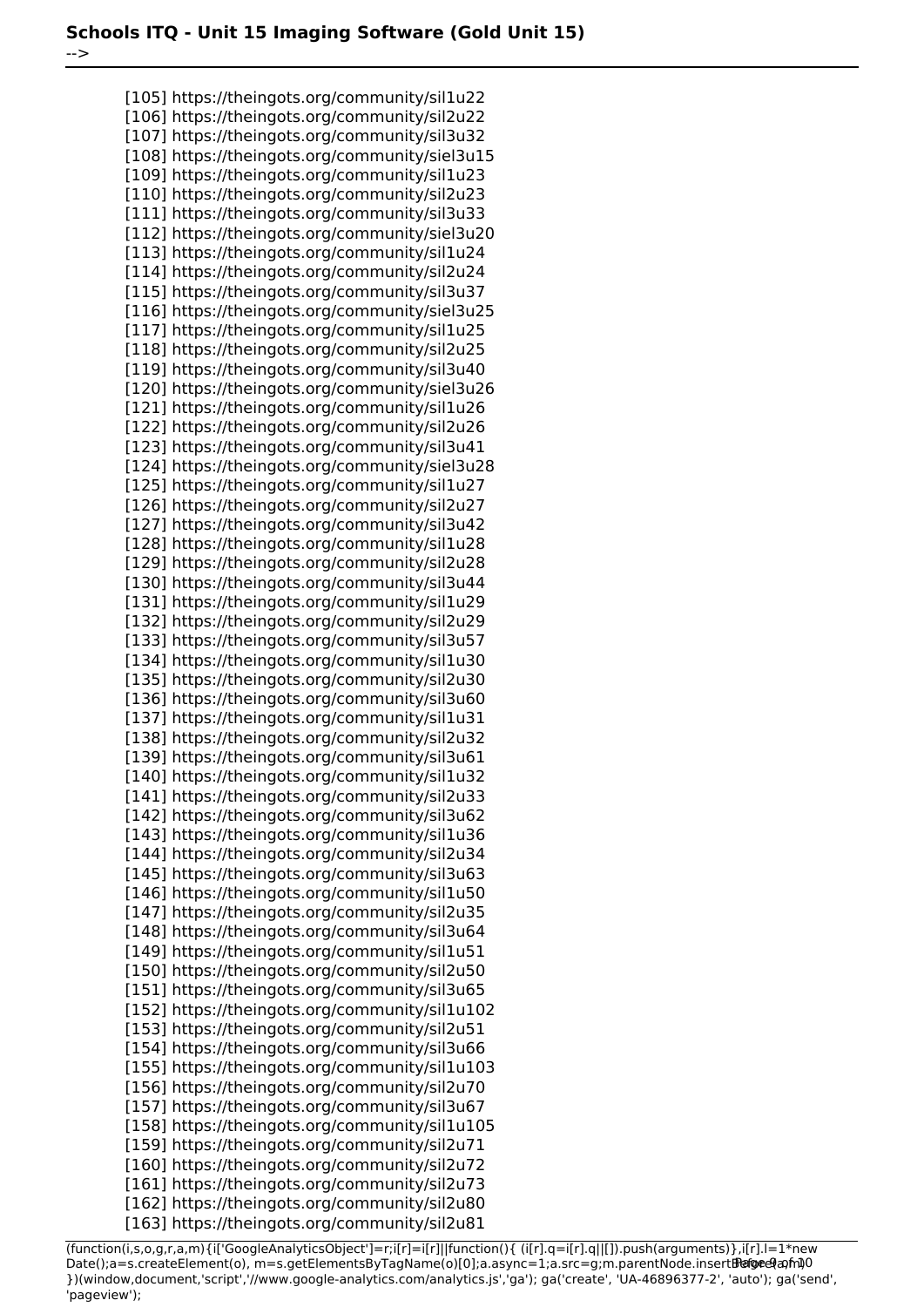-->

[105] https://theingots.org/community/sil1u22 [106] https://theingots.org/community/sil2u22 [107] https://theingots.org/community/sil3u32 [108] https://theingots.org/community/siel3u15 [109] https://theingots.org/community/sil1u23 [110] https://theingots.org/community/sil2u23 [111] https://theingots.org/community/sil3u33 [112] https://theingots.org/community/siel3u20 [113] https://theingots.org/community/sil1u24 [114] https://theingots.org/community/sil2u24 [115] https://theingots.org/community/sil3u37 [116] https://theingots.org/community/siel3u25 [117] https://theingots.org/community/sil1u25 [118] https://theingots.org/community/sil2u25 [119] https://theingots.org/community/sil3u40 [120] https://theingots.org/community/siel3u26 [121] https://theingots.org/community/sil1u26 [122] https://theingots.org/community/sil2u26 [123] https://theingots.org/community/sil3u41 [124] https://theingots.org/community/siel3u28 [125] https://theingots.org/community/sil1u27 [126] https://theingots.org/community/sil2u27 [127] https://theingots.org/community/sil3u42 [128] https://theingots.org/community/sil1u28 [129] https://theingots.org/community/sil2u28 [130] https://theingots.org/community/sil3u44 [131] https://theingots.org/community/sil1u29 [132] https://theingots.org/community/sil2u29 [133] https://theingots.org/community/sil3u57 [134] https://theingots.org/community/sil1u30 [135] https://theingots.org/community/sil2u30 [136] https://theingots.org/community/sil3u60 [137] https://theingots.org/community/sil1u31 [138] https://theingots.org/community/sil2u32 [139] https://theingots.org/community/sil3u61 [140] https://theingots.org/community/sil1u32 [141] https://theingots.org/community/sil2u33 [142] https://theingots.org/community/sil3u62 [143] https://theingots.org/community/sil1u36 [144] https://theingots.org/community/sil2u34 [145] https://theingots.org/community/sil3u63 [146] https://theingots.org/community/sil1u50 [147] https://theingots.org/community/sil2u35 [148] https://theingots.org/community/sil3u64 [149] https://theingots.org/community/sil1u51 [150] https://theingots.org/community/sil2u50 [151] https://theingots.org/community/sil3u65 [152] https://theingots.org/community/sil1u102 [153] https://theingots.org/community/sil2u51 [154] https://theingots.org/community/sil3u66 [155] https://theingots.org/community/sil1u103 [156] https://theingots.org/community/sil2u70 [157] https://theingots.org/community/sil3u67 [158] https://theingots.org/community/sil1u105 [159] https://theingots.org/community/sil2u71 [160] https://theingots.org/community/sil2u72 [161] https://theingots.org/community/sil2u73 [162] https://theingots.org/community/sil2u80 [163] https://theingots.org/community/sil2u81

(function(i,s,o,g,r,a,m){i['GoogleAnalyticsObject']=r;i[r]=i[r]||function(){ (i[r].q=i[r].q||[]).push(arguments)},i[r].l=1\*new Date();a=s.createElement(o), m=s.getElementsByTagName(o)[0];a.async=1;a.src=g;m.parentNode.insert**Bෂ@e**ේ ආከ $\emptyset$ 0 })(window,document,'script','//www.google-analytics.com/analytics.js','ga'); ga('create', 'UA-46896377-2', 'auto'); ga('send', 'pageview');